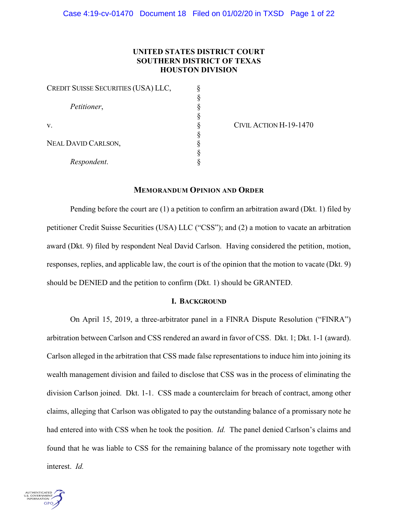# **UNITED STATES DISTRICT COURT SOUTHERN DISTRICT OF TEXAS HOUSTON DIVISION**

| CREDIT SUISSE SECURITIES (USA) LLC, |  |
|-------------------------------------|--|
| Petitioner,<br>V.                   |  |
|                                     |  |
|                                     |  |
|                                     |  |
|                                     |  |
| <b>NEAL DAVID CARLSON,</b>          |  |
|                                     |  |
| Respondent.                         |  |

 $\gamma$  CIVIL ACTION H-19-1470

## **MEMORANDUM OPINION AND ORDER**

Pending before the court are (1) a petition to confirm an arbitration award (Dkt. 1) filed by petitioner Credit Suisse Securities (USA) LLC ("CSS"); and (2) a motion to vacate an arbitration award (Dkt. 9) filed by respondent Neal David Carlson. Having considered the petition, motion, responses, replies, and applicable law, the court is of the opinion that the motion to vacate (Dkt. 9) should be DENIED and the petition to confirm (Dkt. 1) should be GRANTED.

### **I. BACKGROUND**

On April 15, 2019, a three-arbitrator panel in a FINRA Dispute Resolution ("FINRA") arbitration between Carlson and CSS rendered an award in favor of CSS. Dkt. 1; Dkt. 1-1 (award). Carlson alleged in the arbitration that CSS made false representations to induce him into joining its wealth management division and failed to disclose that CSS was in the process of eliminating the division Carlson joined. Dkt. 1-1. CSS made a counterclaim for breach of contract, among other claims, alleging that Carlson was obligated to pay the outstanding balance of a promissary note he had entered into with CSS when he took the position. *Id.* The panel denied Carlson's claims and found that he was liable to CSS for the remaining balance of the promissary note together with interest. *Id.*

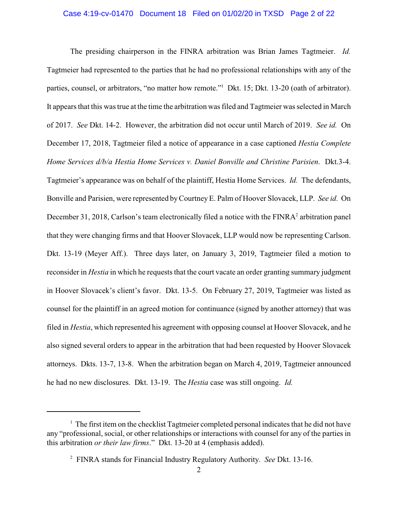#### Case 4:19-cv-01470 Document 18 Filed on 01/02/20 in TXSD Page 2 of 22

The presiding chairperson in the FINRA arbitration was Brian James Tagtmeier. *Id.* Tagtmeier had represented to the parties that he had no professional relationships with any of the parties, counsel, or arbitrators, "no matter how remote."<sup>1</sup> Dkt. 15; Dkt. 13-20 (oath of arbitrator). It appears that this was true at the time the arbitration was filed and Tagtmeier was selected in March of 2017. *See* Dkt. 14-2. However, the arbitration did not occur until March of 2019. *See id.* On December 17, 2018, Tagtmeier filed a notice of appearance in a case captioned *Hestia Complete Home Services d/b/a Hestia Home Services v. Daniel Bonville and Christine Parisien*. Dkt.3-4. Tagtmeier's appearance was on behalf of the plaintiff, Hestia Home Services. *Id.* The defendants, Bonville and Parisien, were represented byCourtney E. Palm of Hoover Slovacek, LLP. *See id.* On December 31, 2018, Carlson's team electronically filed a notice with the FINRA<sup>2</sup> arbitration panel that they were changing firms and that Hoover Slovacek, LLP would now be representing Carlson. Dkt. 13-19 (Meyer Aff.). Three days later, on January 3, 2019, Tagtmeier filed a motion to reconsider in *Hestia* in which he requests that the court vacate an order granting summary judgment in Hoover Slovacek's client's favor. Dkt. 13-5. On February 27, 2019, Tagtmeier was listed as counsel for the plaintiff in an agreed motion for continuance (signed by another attorney) that was filed in *Hestia*, which represented his agreement with opposing counsel at Hoover Slovacek, and he also signed several orders to appear in the arbitration that had been requested by Hoover Slovacek attorneys. Dkts. 13-7, 13-8. When the arbitration began on March 4, 2019, Tagtmeier announced he had no new disclosures. Dkt. 13-19. The *Hestia* case was still ongoing. *Id.*

<sup>&</sup>lt;sup>1</sup> The first item on the checklist Tagtmeier completed personal indicates that he did not have any "professional, social, or other relationships or interactions with counsel for any of the parties in this arbitration *or their law firms*." Dkt. 13-20 at 4 (emphasis added).

<sup>2</sup> FINRA stands for Financial Industry Regulatory Authority. *See* Dkt. 13-16.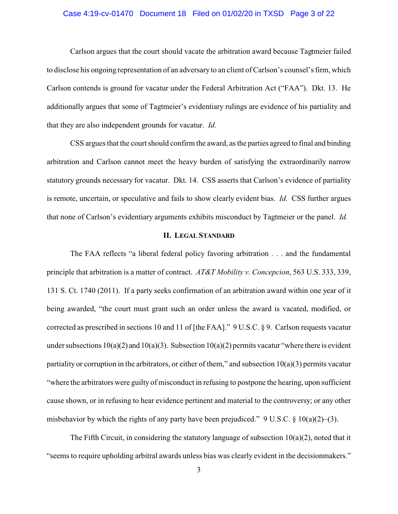#### Case 4:19-cv-01470 Document 18 Filed on 01/02/20 in TXSD Page 3 of 22

Carlson argues that the court should vacate the arbitration award because Tagtmeier failed to disclose his ongoing representation of an adversaryto an client of Carlson's counsel's firm, which Carlson contends is ground for vacatur under the Federal Arbitration Act ("FAA"). Dkt. 13. He additionally argues that some of Tagtmeier's evidentiary rulings are evidence of his partiality and that they are also independent grounds for vacatur. *Id.*

CSS argues that the court should confirm the award, as the parties agreed to final and binding arbitration and Carlson cannot meet the heavy burden of satisfying the extraordinarily narrow statutory grounds necessary for vacatur. Dkt. 14. CSS asserts that Carlson's evidence of partiality is remote, uncertain, or speculative and fails to show clearly evident bias. *Id.* CSS further argues that none of Carlson's evidentiary arguments exhibits misconduct by Tagtmeier or the panel. *Id.*

# **II. LEGAL STANDARD**

The FAA reflects "a liberal federal policy favoring arbitration . . . and the fundamental principle that arbitration is a matter of contract. *AT&T Mobility v. Concepcion*, 563 U.S. 333, 339, 131 S. Ct. 1740 (2011). If a party seeks confirmation of an arbitration award within one year of it being awarded, "the court must grant such an order unless the award is vacated, modified, or corrected as prescribed in sections 10 and 11 of [the FAA]." 9 U.S.C. § 9. Carlson requests vacatur under subsections  $10(a)(2)$  and  $10(a)(3)$ . Subsection  $10(a)(2)$  permits vacatur "where there is evident partiality or corruption in the arbitrators, or either of them," and subsection  $10(a)(3)$  permits vacatur "where the arbitrators were guilty of misconduct in refusing to postpone the hearing, upon sufficient cause shown, or in refusing to hear evidence pertinent and material to the controversy; or any other misbehavior by which the rights of any party have been prejudiced." 9 U.S.C.  $\S$  10(a)(2)–(3).

The Fifth Circuit, in considering the statutory language of subsection  $10(a)(2)$ , noted that it "seems to require upholding arbitral awards unless bias was clearly evident in the decisionmakers."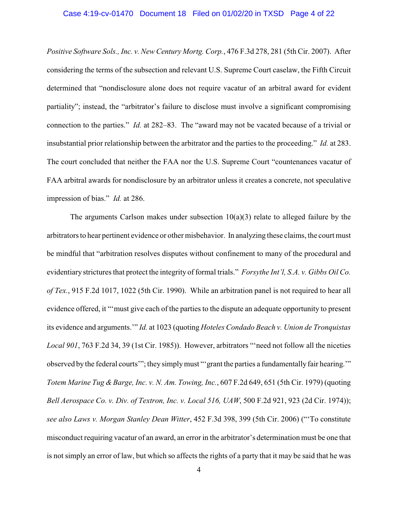# Case 4:19-cv-01470 Document 18 Filed on 01/02/20 in TXSD Page 4 of 22

*Positive Software Sols., Inc. v. New Century Mortg. Corp.*, 476 F.3d 278, 281 (5th Cir. 2007). After considering the terms of the subsection and relevant U.S. Supreme Court caselaw, the Fifth Circuit determined that "nondisclosure alone does not require vacatur of an arbitral award for evident partiality"; instead, the "arbitrator's failure to disclose must involve a significant compromising connection to the parties." *Id.* at 282–83. The "award may not be vacated because of a trivial or insubstantial prior relationship between the arbitrator and the parties to the proceeding." *Id.* at 283. The court concluded that neither the FAA nor the U.S. Supreme Court "countenances vacatur of FAA arbitral awards for nondisclosure by an arbitrator unless it creates a concrete, not speculative impression of bias." *Id.* at 286.

The arguments Carlson makes under subsection  $10(a)(3)$  relate to alleged failure by the arbitrators to hear pertinent evidence or other misbehavior. In analyzing these claims, the court must be mindful that "arbitration resolves disputes without confinement to many of the procedural and evidentiary strictures that protect the integrity of formal trials." *Forsythe Int'l, S.A. v. Gibbs Oil Co. of Tex.*, 915 F.2d 1017, 1022 (5th Cir. 1990). While an arbitration panel is not required to hear all evidence offered, it "'must give each of the parties to the dispute an adequate opportunity to present its evidence and arguments.'" *Id.* at 1023 (quoting *Hoteles Condado Beach v. Union de Tronquistas Local 901*, 763 F.2d 34, 39 (1st Cir. 1985)). However, arbitrators "'need not follow all the niceties observed by the federal courts'"; they simply must "'grant the parties a fundamentally fair hearing.'" *Totem Marine Tug &Barge, Inc. v. N. Am. Towing, Inc.*, 607 F.2d 649, 651 (5th Cir. 1979) (quoting *Bell Aerospace Co. v. Div. of Textron, Inc. v. Local 516, UAW*, 500 F.2d 921, 923 (2d Cir. 1974)); *see also Laws v. Morgan Stanley Dean Witter*, 452 F.3d 398, 399 (5th Cir. 2006) ("'To constitute misconduct requiring vacatur of an award, an error in the arbitrator's determination must be one that is not simply an error of law, but which so affects the rights of a party that it may be said that he was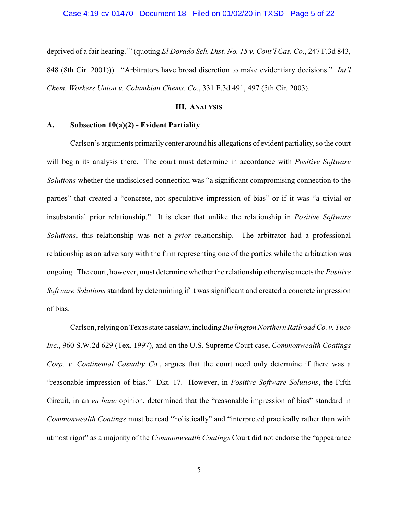deprived of a fair hearing.'" (quoting *El Dorado Sch. Dist. No. 15 v. Cont'l Cas. Co.*, 247 F.3d 843, 848 (8th Cir. 2001))). "Arbitrators have broad discretion to make evidentiary decisions." *Int'l Chem. Workers Union v. Columbian Chems. Co.*, 331 F.3d 491, 497 (5th Cir. 2003).

## **III. ANALYSIS**

#### **A. Subsection 10(a)(2) - Evident Partiality**

Carlson's arguments primarilycenter around his allegations of evident partiality, so the court will begin its analysis there. The court must determine in accordance with *Positive Software Solutions* whether the undisclosed connection was "a significant compromising connection to the parties" that created a "concrete, not speculative impression of bias" or if it was "a trivial or insubstantial prior relationship." It is clear that unlike the relationship in *Positive Software Solutions*, this relationship was not a *prior* relationship. The arbitrator had a professional relationship as an adversary with the firm representing one of the parties while the arbitration was ongoing. The court, however, must determine whether the relationship otherwise meets the *Positive Software Solutions* standard by determining if it was significant and created a concrete impression of bias.

Carlson, relying on Texas state caselaw, including*Burlington Northern Railroad Co. v. Tuco Inc.*, 960 S.W.2d 629 (Tex. 1997), and on the U.S. Supreme Court case, *Commonwealth Coatings Corp. v. Continental Casualty Co.*, argues that the court need only determine if there was a "reasonable impression of bias." Dkt. 17. However, in *Positive Software Solutions*, the Fifth Circuit, in an *en banc* opinion, determined that the "reasonable impression of bias" standard in *Commonwealth Coatings* must be read "holistically" and "interpreted practically rather than with utmost rigor" as a majority of the *Commonwealth Coatings* Court did not endorse the "appearance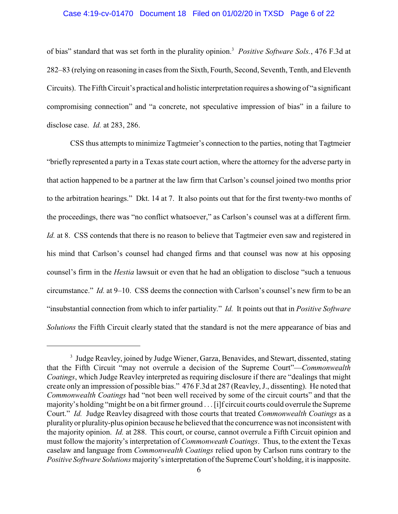#### Case 4:19-cv-01470 Document 18 Filed on 01/02/20 in TXSD Page 6 of 22

of bias" standard that was set forth in the plurality opinion.<sup>3</sup> *Positive Software Sols.*, 476 F.3d at 282–83 (relying on reasoning in cases from the Sixth, Fourth, Second, Seventh, Tenth, and Eleventh Circuits). The Fifth Circuit's practical and holistic interpretation requires a showing of "a significant compromising connection" and "a concrete, not speculative impression of bias" in a failure to disclose case. *Id.* at 283, 286.

CSS thus attempts to minimize Tagtmeier's connection to the parties, noting that Tagtmeier "briefly represented a party in a Texas state court action, where the attorney for the adverse party in that action happened to be a partner at the law firm that Carlson's counsel joined two months prior to the arbitration hearings." Dkt. 14 at 7. It also points out that for the first twenty-two months of the proceedings, there was "no conflict whatsoever," as Carlson's counsel was at a different firm. *Id.* at 8. CSS contends that there is no reason to believe that Tagtmeier even saw and registered in his mind that Carlson's counsel had changed firms and that counsel was now at his opposing counsel's firm in the *Hestia* lawsuit or even that he had an obligation to disclose "such a tenuous circumstance." *Id.* at 9–10. CSS deems the connection with Carlson's counsel's new firm to be an "insubstantial connection from which to infer partiality." *Id.* It points out that in *Positive Software Solutions* the Fifth Circuit clearly stated that the standard is not the mere appearance of bias and

<sup>&</sup>lt;sup>3</sup> Judge Reavley, joined by Judge Wiener, Garza, Benavides, and Stewart, dissented, stating that the Fifth Circuit "may not overrule a decision of the Supreme Court"—*Commonwealth Coatings*, which Judge Reavley interpreted as requiring disclosure if there are "dealings that might create only an impression of possible bias." 476 F.3d at 287 (Reavley, J., dissenting). He noted that *Commonwealth Coatings* had "not been well received by some of the circuit courts" and that the majority's holding "might be on a bit firmer ground . . .[i]f circuit courts could overrule the Supreme Court." *Id.* Judge Reavley disagreed with those courts that treated *Commonwealth Coatings* as a pluralityor plurality-plus opinion because he believed that the concurrence was not inconsistent with the majority opinion. *Id.* at 288. This court, or course, cannot overrule a Fifth Circuit opinion and must follow the majority's interpretation of *Commonweath Coatings*. Thus, to the extent the Texas caselaw and language from *Commonwealth Coatings* relied upon by Carlson runs contrary to the *Positive Software Solutions* majority's interpretation of the Supreme Court's holding, it is inapposite.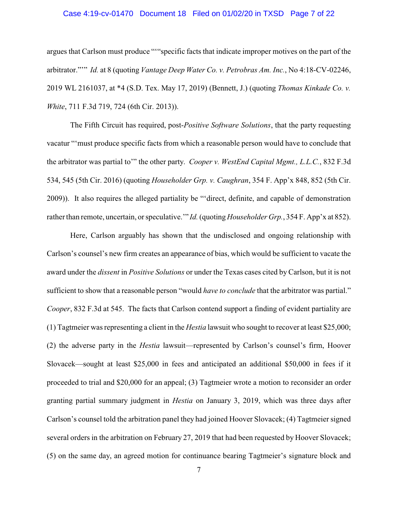## Case 4:19-cv-01470 Document 18 Filed on 01/02/20 in TXSD Page 7 of 22

argues that Carlson must produce "'"specific facts that indicate improper motives on the part of the arbitrator."'" *Id.* at 8 (quoting *Vantage Deep Water Co. v. Petrobras Am. Inc.*, No 4:18-CV-02246, 2019 WL 2161037, at \*4 (S.D. Tex. May 17, 2019) (Bennett, J.) (quoting *Thomas Kinkade Co. v. White*, 711 F.3d 719, 724 (6th Cir. 2013)).

The Fifth Circuit has required, post-*Positive Software Solutions*, that the party requesting vacatur "'must produce specific facts from which a reasonable person would have to conclude that the arbitrator was partial to'" the other party. *Cooper v. WestEnd Capital Mgmt., L.L.C.*, 832 F.3d 534, 545 (5th Cir. 2016) (quoting *Householder Grp. v. Caughran*, 354 F. App'x 848, 852 (5th Cir. 2009)). It also requires the alleged partiality be "'direct, definite, and capable of demonstration rather than remote, uncertain, or speculative.'" *Id.*(quoting *Householder Grp.*, 354 F. App'x at 852).

Here, Carlson arguably has shown that the undisclosed and ongoing relationship with Carlson's counsel's new firm creates an appearance of bias, which would be sufficient to vacate the award under the *dissent* in *Positive Solutions* or under the Texas cases cited by Carlson, but it is not sufficient to show that a reasonable person "would *have to conclude* that the arbitrator was partial." *Cooper*, 832 F.3d at 545. The facts that Carlson contend support a finding of evident partiality are (1) Tagtmeier was representing a client in the *Hestia* lawsuit who sought to recover at least \$25,000; (2) the adverse party in the *Hestia* lawsuit—represented by Carlson's counsel's firm, Hoover Slovacek—sought at least \$25,000 in fees and anticipated an additional \$50,000 in fees if it proceeded to trial and \$20,000 for an appeal; (3) Tagtmeier wrote a motion to reconsider an order granting partial summary judgment in *Hestia* on January 3, 2019, which was three days after Carlson's counsel told the arbitration panel they had joined Hoover Slovacek; (4) Tagtmeier signed several orders in the arbitration on February 27, 2019 that had been requested by Hoover Slovacek; (5) on the same day, an agreed motion for continuance bearing Tagtmeier's signature block and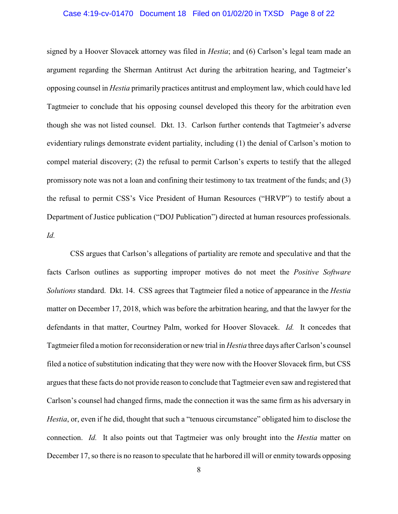#### Case 4:19-cv-01470 Document 18 Filed on 01/02/20 in TXSD Page 8 of 22

signed by a Hoover Slovacek attorney was filed in *Hestia*; and (6) Carlson's legal team made an argument regarding the Sherman Antitrust Act during the arbitration hearing, and Tagtmeier's opposing counsel in *Hestia* primarily practices antitrust and employment law, which could have led Tagtmeier to conclude that his opposing counsel developed this theory for the arbitration even though she was not listed counsel. Dkt. 13. Carlson further contends that Tagtmeier's adverse evidentiary rulings demonstrate evident partiality, including (1) the denial of Carlson's motion to compel material discovery; (2) the refusal to permit Carlson's experts to testify that the alleged promissory note was not a loan and confining their testimony to tax treatment of the funds; and (3) the refusal to permit CSS's Vice President of Human Resources ("HRVP") to testify about a Department of Justice publication ("DOJ Publication") directed at human resources professionals. *Id.*

CSS argues that Carlson's allegations of partiality are remote and speculative and that the facts Carlson outlines as supporting improper motives do not meet the *Positive Software Solutions* standard. Dkt. 14. CSS agrees that Tagtmeier filed a notice of appearance in the *Hestia* matter on December 17, 2018, which was before the arbitration hearing, and that the lawyer for the defendants in that matter, Courtney Palm, worked for Hoover Slovacek. *Id.* It concedes that Tagtmeier filed a motion for reconsideration or new trial in *Hestia* three days after Carlson's counsel filed a notice of substitution indicating that they were now with the Hoover Slovacek firm, but CSS argues that these facts do not provide reason to conclude that Tagtmeier even saw and registered that Carlson's counsel had changed firms, made the connection it was the same firm as his adversary in *Hestia*, or, even if he did, thought that such a "tenuous circumstance" obligated him to disclose the connection. *Id.* It also points out that Tagtmeier was only brought into the *Hestia* matter on December 17, so there is no reason to speculate that he harbored ill will or enmity towards opposing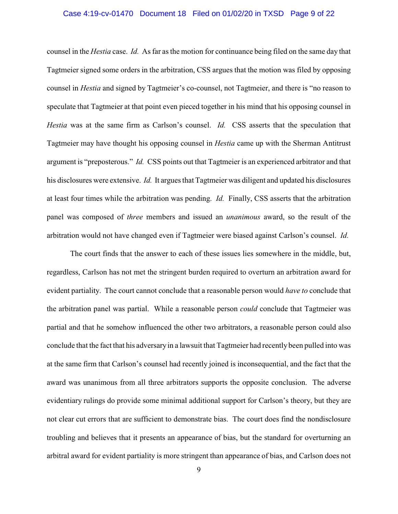# Case 4:19-cv-01470 Document 18 Filed on 01/02/20 in TXSD Page 9 of 22

counsel in the *Hestia* case. *Id.* As far as the motion for continuance being filed on the same day that Tagtmeier signed some orders in the arbitration, CSS argues that the motion was filed by opposing counsel in *Hestia* and signed by Tagtmeier's co-counsel, not Tagtmeier, and there is "no reason to speculate that Tagtmeier at that point even pieced together in his mind that his opposing counsel in *Hestia* was at the same firm as Carlson's counsel. *Id.* CSS asserts that the speculation that Tagtmeier may have thought his opposing counsel in *Hestia* came up with the Sherman Antitrust argument is "preposterous." *Id.* CSS points out that Tagtmeier is an experienced arbitrator and that his disclosures were extensive. *Id.* It argues that Tagtmeier was diligent and updated his disclosures at least four times while the arbitration was pending. *Id.* Finally, CSS asserts that the arbitration panel was composed of *three* members and issued an *unanimous* award, so the result of the arbitration would not have changed even if Tagtmeier were biased against Carlson's counsel. *Id.*

The court finds that the answer to each of these issues lies somewhere in the middle, but, regardless, Carlson has not met the stringent burden required to overturn an arbitration award for evident partiality. The court cannot conclude that a reasonable person would *have to* conclude that the arbitration panel was partial. While a reasonable person *could* conclude that Tagtmeier was partial and that he somehow influenced the other two arbitrators, a reasonable person could also conclude that the fact that his adversaryin a lawsuit that Tagtmeier had recently been pulled into was at the same firm that Carlson's counsel had recently joined is inconsequential, and the fact that the award was unanimous from all three arbitrators supports the opposite conclusion. The adverse evidentiary rulings do provide some minimal additional support for Carlson's theory, but they are not clear cut errors that are sufficient to demonstrate bias. The court does find the nondisclosure troubling and believes that it presents an appearance of bias, but the standard for overturning an arbitral award for evident partiality is more stringent than appearance of bias, and Carlson does not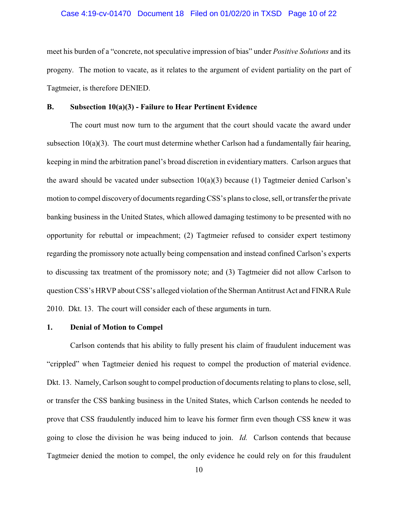#### Case 4:19-cv-01470 Document 18 Filed on 01/02/20 in TXSD Page 10 of 22

meet his burden of a "concrete, not speculative impression of bias" under *Positive Solutions* and its progeny. The motion to vacate, as it relates to the argument of evident partiality on the part of Tagtmeier, is therefore DENIED.

## **B. Subsection 10(a)(3) - Failure to Hear Pertinent Evidence**

The court must now turn to the argument that the court should vacate the award under subsection 10(a)(3). The court must determine whether Carlson had a fundamentally fair hearing, keeping in mind the arbitration panel's broad discretion in evidentiary matters. Carlson argues that the award should be vacated under subsection  $10(a)(3)$  because (1) Tagtmeier denied Carlson's motion to compel discovery of documents regarding CSS's plans to close, sell, or transfer the private banking business in the United States, which allowed damaging testimony to be presented with no opportunity for rebuttal or impeachment; (2) Tagtmeier refused to consider expert testimony regarding the promissory note actually being compensation and instead confined Carlson's experts to discussing tax treatment of the promissory note; and (3) Tagtmeier did not allow Carlson to question CSS's HRVP about CSS's alleged violation of the Sherman Antitrust Act and FINRA Rule 2010. Dkt. 13. The court will consider each of these arguments in turn.

#### **1. Denial of Motion to Compel**

Carlson contends that his ability to fully present his claim of fraudulent inducement was "crippled" when Tagtmeier denied his request to compel the production of material evidence. Dkt. 13. Namely, Carlson sought to compel production of documents relating to plans to close, sell, or transfer the CSS banking business in the United States, which Carlson contends he needed to prove that CSS fraudulently induced him to leave his former firm even though CSS knew it was going to close the division he was being induced to join. *Id.* Carlson contends that because Tagtmeier denied the motion to compel, the only evidence he could rely on for this fraudulent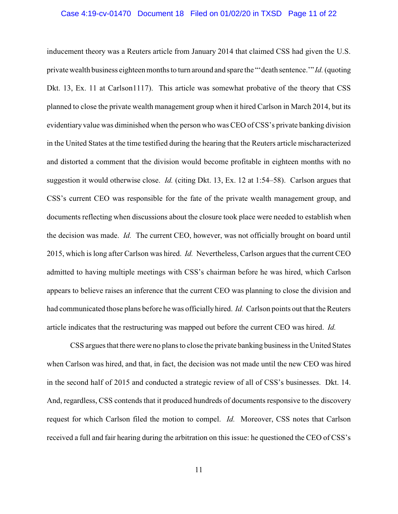#### Case 4:19-cv-01470 Document 18 Filed on 01/02/20 in TXSD Page 11 of 22

inducement theory was a Reuters article from January 2014 that claimed CSS had given the U.S. private wealth business eighteen months to turn around and spare the "'death sentence.'" *Id.*(quoting Dkt. 13, Ex. 11 at Carlson1117). This article was somewhat probative of the theory that CSS planned to close the private wealth management group when it hired Carlson in March 2014, but its evidentiary value was diminished when the person who was CEO of CSS's private banking division in the United States at the time testified during the hearing that the Reuters article mischaracterized and distorted a comment that the division would become profitable in eighteen months with no suggestion it would otherwise close. *Id.* (citing Dkt. 13, Ex. 12 at 1:54–58). Carlson argues that CSS's current CEO was responsible for the fate of the private wealth management group, and documents reflecting when discussions about the closure took place were needed to establish when the decision was made. *Id.* The current CEO, however, was not officially brought on board until 2015, which is long after Carlson was hired. *Id.* Nevertheless, Carlson argues that the current CEO admitted to having multiple meetings with CSS's chairman before he was hired, which Carlson appears to believe raises an inference that the current CEO was planning to close the division and had communicated those plans before he was officially hired. *Id.* Carlson points out that the Reuters article indicates that the restructuring was mapped out before the current CEO was hired. *Id.*

CSS argues that there were no plans to close the private banking business in the United States when Carlson was hired, and that, in fact, the decision was not made until the new CEO was hired in the second half of 2015 and conducted a strategic review of all of CSS's businesses. Dkt. 14. And, regardless, CSS contends that it produced hundreds of documents responsive to the discovery request for which Carlson filed the motion to compel. *Id.* Moreover, CSS notes that Carlson received a full and fair hearing during the arbitration on this issue: he questioned the CEO of CSS's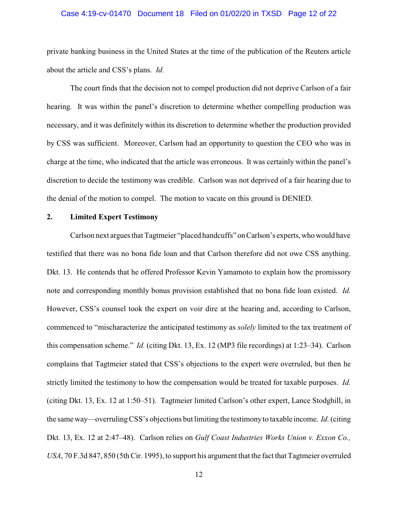#### Case 4:19-cv-01470 Document 18 Filed on 01/02/20 in TXSD Page 12 of 22

private banking business in the United States at the time of the publication of the Reuters article about the article and CSS's plans. *Id.*

The court finds that the decision not to compel production did not deprive Carlson of a fair hearing. It was within the panel's discretion to determine whether compelling production was necessary, and it was definitely within its discretion to determine whether the production provided by CSS was sufficient. Moreover, Carlson had an opportunity to question the CEO who was in charge at the time, who indicated that the article was erroneous. It was certainly within the panel's discretion to decide the testimony was credible. Carlson was not deprived of a fair hearing due to the denial of the motion to compel. The motion to vacate on this ground is DENIED.

#### **2. Limited Expert Testimony**

Carlson next argues that Tagtmeier "placed handcuffs" onCarlson's experts,whowould have testified that there was no bona fide loan and that Carlson therefore did not owe CSS anything. Dkt. 13. He contends that he offered Professor Kevin Yamamoto to explain how the promissory note and corresponding monthly bonus provision established that no bona fide loan existed. *Id.* However, CSS's counsel took the expert on voir dire at the hearing and, according to Carlson, commenced to "mischaracterize the anticipated testimony as *solely* limited to the tax treatment of this compensation scheme." *Id.* (citing Dkt. 13, Ex. 12 (MP3 file recordings) at 1:23–34). Carlson complains that Tagtmeier stated that CSS's objections to the expert were overruled, but then he strictly limited the testimony to how the compensation would be treated for taxable purposes. *Id.* (citing Dkt. 13, Ex. 12 at 1:50–51). Tagtmeier limited Carlson's other expert, Lance Stodghill, in the same way—overrulingCSS's objections but limiting the testimonyto taxable income. *Id.*(citing Dkt. 13, Ex. 12 at 2:47–48). Carlson relies on *Gulf Coast Industries Works Union v. Exxon Co., USA*, 70 F.3d 847, 850 (5th Cir. 1995), to support his argument that the fact that Tagtmeier overruled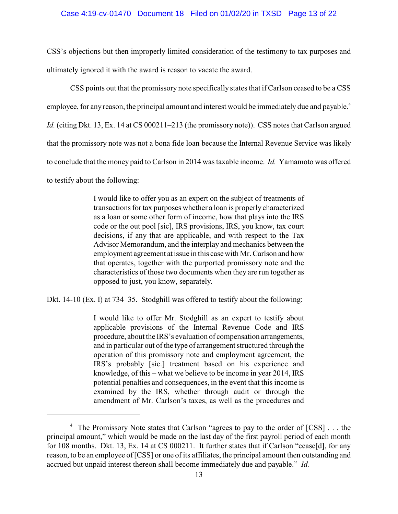#### Case 4:19-cv-01470 Document 18 Filed on 01/02/20 in TXSD Page 13 of 22

CSS's objections but then improperly limited consideration of the testimony to tax purposes and ultimately ignored it with the award is reason to vacate the award.

CSS points out that the promissory note specifically states that if Carlson ceased to be a CSS employee, for any reason, the principal amount and interest would be immediately due and payable.<sup>4</sup> *Id.* (citing Dkt. 13, Ex. 14 at CS 000211–213 (the promissory note)). CSS notes that Carlson argued that the promissory note was not a bona fide loan because the Internal Revenue Service was likely to conclude that the money paid to Carlson in 2014 was taxable income. *Id.* Yamamoto was offered to testify about the following:

> I would like to offer you as an expert on the subject of treatments of transactions for tax purposes whether a loan is properly characterized as a loan or some other form of income, how that plays into the IRS code or the out pool [sic], IRS provisions, IRS, you know, tax court decisions, if any that are applicable, and with respect to the Tax Advisor Memorandum, and the interplay and mechanics between the employment agreement at issue in this case with Mr. Carlson and how that operates, together with the purported promissory note and the characteristics of those two documents when they are run together as opposed to just, you know, separately.

Dkt. 14-10 (Ex. I) at 734–35. Stodghill was offered to testify about the following:

I would like to offer Mr. Stodghill as an expert to testify about applicable provisions of the Internal Revenue Code and IRS procedure, about the IRS's evaluation of compensation arrangements, and in particular out of the type of arrangement structured through the operation of this promissory note and employment agreement, the IRS's probably [sic.] treatment based on his experience and knowledge, of this – what we believe to be income in year 2014, IRS potential penalties and consequences, in the event that this income is examined by the IRS, whether through audit or through the amendment of Mr. Carlson's taxes, as well as the procedures and

<sup>4</sup> The Promissory Note states that Carlson "agrees to pay to the order of [CSS] . . . the principal amount," which would be made on the last day of the first payroll period of each month for 108 months. Dkt. 13, Ex. 14 at CS 000211. It further states that if Carlson "cease[d], for any reason, to be an employee of [CSS] or one of its affiliates, the principal amount then outstanding and accrued but unpaid interest thereon shall become immediately due and payable." *Id.*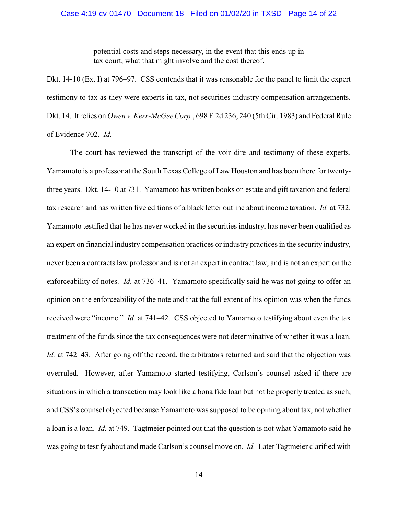potential costs and steps necessary, in the event that this ends up in tax court, what that might involve and the cost thereof.

Dkt. 14-10 (Ex. I) at 796–97. CSS contends that it was reasonable for the panel to limit the expert testimony to tax as they were experts in tax, not securities industry compensation arrangements. Dkt. 14. It relies on *Owen v. Kerr-McGee Corp.*, 698 F.2d 236, 240 (5th Cir. 1983) and Federal Rule of Evidence 702. *Id.*

The court has reviewed the transcript of the voir dire and testimony of these experts. Yamamoto is a professor at the South Texas College of Law Houston and has been there for twentythree years. Dkt. 14-10 at 731. Yamamoto has written books on estate and gift taxation and federal tax research and has written five editions of a black letter outline about income taxation. *Id.* at 732. Yamamoto testified that he has never worked in the securities industry, has never been qualified as an expert on financial industry compensation practices or industry practices in the security industry, never been a contracts law professor and is not an expert in contract law, and is not an expert on the enforceability of notes. *Id.* at 736–41. Yamamoto specifically said he was not going to offer an opinion on the enforceability of the note and that the full extent of his opinion was when the funds received were "income." *Id.* at 741–42. CSS objected to Yamamoto testifying about even the tax treatment of the funds since the tax consequences were not determinative of whether it was a loan. *Id.* at 742–43. After going off the record, the arbitrators returned and said that the objection was overruled. However, after Yamamoto started testifying, Carlson's counsel asked if there are situations in which a transaction may look like a bona fide loan but not be properly treated as such, and CSS's counsel objected because Yamamoto was supposed to be opining about tax, not whether a loan is a loan. *Id.* at 749. Tagtmeier pointed out that the question is not what Yamamoto said he was going to testify about and made Carlson's counsel move on. *Id.* Later Tagtmeier clarified with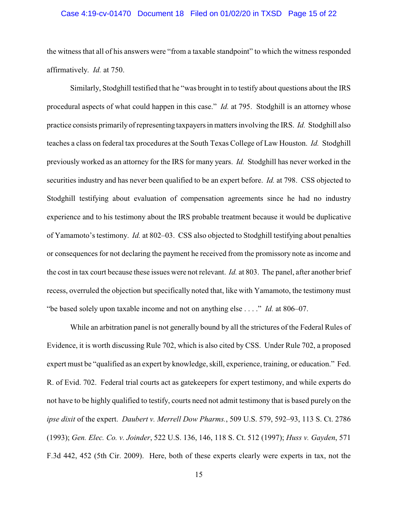#### Case 4:19-cv-01470 Document 18 Filed on 01/02/20 in TXSD Page 15 of 22

the witness that all of his answers were "from a taxable standpoint" to which the witness responded affirmatively. *Id.* at 750.

Similarly, Stodghill testified that he "was brought in to testify about questions about the IRS procedural aspects of what could happen in this case." *Id.* at 795. Stodghill is an attorney whose practice consists primarily of representing taxpayers in matters involving the IRS. *Id.* Stodghill also teaches a class on federal tax procedures at the South Texas College of Law Houston. *Id.* Stodghill previously worked as an attorney for the IRS for many years. *Id.* Stodghill has never worked in the securities industry and has never been qualified to be an expert before. *Id.* at 798. CSS objected to Stodghill testifying about evaluation of compensation agreements since he had no industry experience and to his testimony about the IRS probable treatment because it would be duplicative of Yamamoto's testimony. *Id.* at 802–03. CSS also objected to Stodghill testifying about penalties or consequences for not declaring the payment he received from the promissory note as income and the cost in tax court because these issues were not relevant. *Id.* at 803. The panel, after another brief recess, overruled the objection but specifically noted that, like with Yamamoto, the testimony must "be based solely upon taxable income and not on anything else . . . ." *Id.* at 806–07.

While an arbitration panel is not generally bound by all the strictures of the Federal Rules of Evidence, it is worth discussing Rule 702, which is also cited by CSS. Under Rule 702, a proposed expert must be "qualified as an expert by knowledge, skill, experience, training, or education." Fed. R. of Evid. 702. Federal trial courts act as gatekeepers for expert testimony, and while experts do not have to be highly qualified to testify, courts need not admit testimony that is based purely on the *ipse dixit* of the expert. *Daubert v. Merrell Dow Pharms.*, 509 U.S. 579, 592–93, 113 S. Ct. 2786 (1993); *Gen. Elec. Co. v. Joinder*, 522 U.S. 136, 146, 118 S. Ct. 512 (1997); *Huss v. Gayden*, 571 F.3d 442, 452 (5th Cir. 2009). Here, both of these experts clearly were experts in tax, not the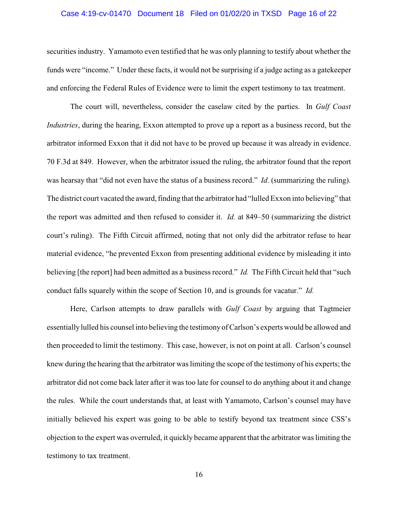#### Case 4:19-cv-01470 Document 18 Filed on 01/02/20 in TXSD Page 16 of 22

securities industry. Yamamoto even testified that he was only planning to testify about whether the funds were "income." Under these facts, it would not be surprising if a judge acting as a gatekeeper and enforcing the Federal Rules of Evidence were to limit the expert testimony to tax treatment.

The court will, nevertheless, consider the caselaw cited by the parties. In *Gulf Coast Industries*, during the hearing, Exxon attempted to prove up a report as a business record, but the arbitrator informed Exxon that it did not have to be proved up because it was already in evidence. 70 F.3d at 849. However, when the arbitrator issued the ruling, the arbitrator found that the report was hearsay that "did not even have the status of a business record." *Id.* (summarizing the ruling). The district court vacated the award, finding that the arbitrator had "lulled Exxon into believing" that the report was admitted and then refused to consider it. *Id.* at 849–50 (summarizing the district court's ruling). The Fifth Circuit affirmed, noting that not only did the arbitrator refuse to hear material evidence, "he prevented Exxon from presenting additional evidence by misleading it into believing [the report] had been admitted as a business record." *Id.* The Fifth Circuit held that "such conduct falls squarely within the scope of Section 10, and is grounds for vacatur." *Id.*

Here, Carlson attempts to draw parallels with *Gulf Coast* by arguing that Tagtmeier essentially lulled his counsel into believing the testimony of Carlson's experts would be allowed and then proceeded to limit the testimony. This case, however, is not on point at all. Carlson's counsel knew during the hearing that the arbitrator was limiting the scope of the testimony of his experts; the arbitrator did not come back later after it was too late for counsel to do anything about it and change the rules. While the court understands that, at least with Yamamoto, Carlson's counsel may have initially believed his expert was going to be able to testify beyond tax treatment since CSS's objection to the expert was overruled, it quickly became apparent that the arbitrator was limiting the testimony to tax treatment.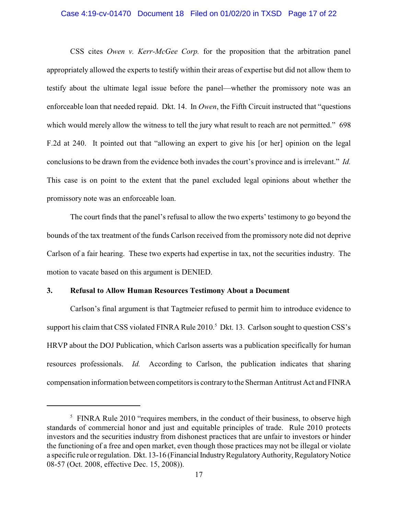#### Case 4:19-cv-01470 Document 18 Filed on 01/02/20 in TXSD Page 17 of 22

CSS cites *Owen v. Kerr-McGee Corp.* for the proposition that the arbitration panel appropriately allowed the experts to testify within their areas of expertise but did not allow them to testify about the ultimate legal issue before the panel—whether the promissory note was an enforceable loan that needed repaid. Dkt. 14. In *Owen*, the Fifth Circuit instructed that "questions which would merely allow the witness to tell the jury what result to reach are not permitted." 698 F.2d at 240. It pointed out that "allowing an expert to give his [or her] opinion on the legal conclusions to be drawn from the evidence both invades the court's province and is irrelevant." *Id.* This case is on point to the extent that the panel excluded legal opinions about whether the promissory note was an enforceable loan.

The court finds that the panel's refusal to allow the two experts' testimony to go beyond the bounds of the tax treatment of the funds Carlson received from the promissory note did not deprive Carlson of a fair hearing. These two experts had expertise in tax, not the securities industry. The motion to vacate based on this argument is DENIED.

# **3. Refusal to Allow Human Resources Testimony About a Document**

Carlson's final argument is that Tagtmeier refused to permit him to introduce evidence to support his claim that CSS violated FINRA Rule 2010.<sup>5</sup> Dkt. 13. Carlson sought to question CSS's HRVP about the DOJ Publication, which Carlson asserts was a publication specifically for human resources professionals. *Id.* According to Carlson, the publication indicates that sharing compensation information between competitors is contraryto the Sherman Antitrust Act and FINRA

<sup>&</sup>lt;sup>5</sup> FINRA Rule 2010 "requires members, in the conduct of their business, to observe high standards of commercial honor and just and equitable principles of trade. Rule 2010 protects investors and the securities industry from dishonest practices that are unfair to investors or hinder the functioning of a free and open market, even though those practices may not be illegal or violate a specific rule or regulation. Dkt. 13-16 (Financial Industry Regulatory Authority, Regulatory Notice 08-57 (Oct. 2008, effective Dec. 15, 2008)).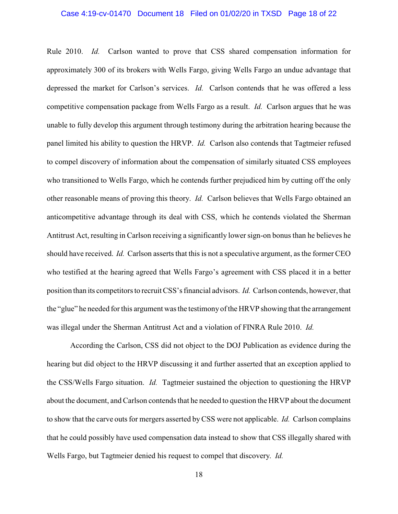#### Case 4:19-cv-01470 Document 18 Filed on 01/02/20 in TXSD Page 18 of 22

Rule 2010. *Id.* Carlson wanted to prove that CSS shared compensation information for approximately 300 of its brokers with Wells Fargo, giving Wells Fargo an undue advantage that depressed the market for Carlson's services. *Id.* Carlson contends that he was offered a less competitive compensation package from Wells Fargo as a result. *Id.* Carlson argues that he was unable to fully develop this argument through testimony during the arbitration hearing because the panel limited his ability to question the HRVP. *Id.* Carlson also contends that Tagtmeier refused to compel discovery of information about the compensation of similarly situated CSS employees who transitioned to Wells Fargo, which he contends further prejudiced him by cutting off the only other reasonable means of proving this theory. *Id.* Carlson believes that Wells Fargo obtained an anticompetitive advantage through its deal with CSS, which he contends violated the Sherman Antitrust Act, resulting in Carlson receiving a significantly lower sign-on bonus than he believes he should have received. *Id.* Carlson asserts that this is not a speculative argument, as the former CEO who testified at the hearing agreed that Wells Fargo's agreement with CSS placed it in a better position than its competitors to recruit CSS's financial advisors. *Id.* Carlson contends, however, that the "glue" he needed for this argument was the testimony of the HRVP showing that the arrangement was illegal under the Sherman Antitrust Act and a violation of FINRA Rule 2010. *Id.*

According the Carlson, CSS did not object to the DOJ Publication as evidence during the hearing but did object to the HRVP discussing it and further asserted that an exception applied to the CSS/Wells Fargo situation. *Id.* Tagtmeier sustained the objection to questioning the HRVP about the document, and Carlson contends that he needed to question the HRVP about the document to show that the carve outs for mergers asserted byCSS were not applicable. *Id.* Carlson complains that he could possibly have used compensation data instead to show that CSS illegally shared with Wells Fargo, but Tagtmeier denied his request to compel that discovery. *Id.*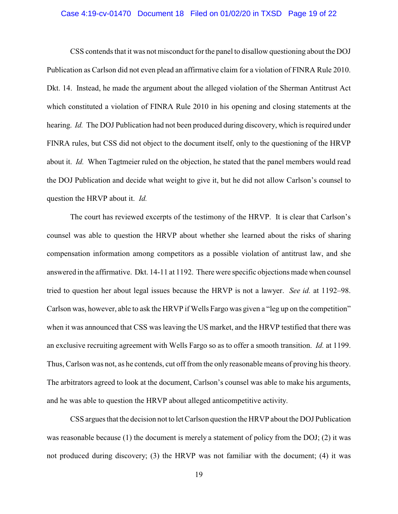#### Case 4:19-cv-01470 Document 18 Filed on 01/02/20 in TXSD Page 19 of 22

CSS contends that it was not misconduct for the panel to disallow questioning about the DOJ Publication as Carlson did not even plead an affirmative claim for a violation of FINRA Rule 2010. Dkt. 14. Instead, he made the argument about the alleged violation of the Sherman Antitrust Act which constituted a violation of FINRA Rule 2010 in his opening and closing statements at the hearing. *Id.* The DOJ Publication had not been produced during discovery, which is required under FINRA rules, but CSS did not object to the document itself, only to the questioning of the HRVP about it. *Id.* When Tagtmeier ruled on the objection, he stated that the panel members would read the DOJ Publication and decide what weight to give it, but he did not allow Carlson's counsel to question the HRVP about it. *Id.*

The court has reviewed excerpts of the testimony of the HRVP. It is clear that Carlson's counsel was able to question the HRVP about whether she learned about the risks of sharing compensation information among competitors as a possible violation of antitrust law, and she answered in the affirmative. Dkt. 14-11 at 1192. There were specific objections made when counsel tried to question her about legal issues because the HRVP is not a lawyer. *See id.* at 1192–98. Carlson was, however, able to ask the HRVP if Wells Fargo was given a "leg up on the competition" when it was announced that CSS was leaving the US market, and the HRVP testified that there was an exclusive recruiting agreement with Wells Fargo so as to offer a smooth transition. *Id.* at 1199. Thus, Carlson was not, as he contends, cut off from the only reasonable means of proving his theory. The arbitrators agreed to look at the document, Carlson's counsel was able to make his arguments, and he was able to question the HRVP about alleged anticompetitive activity.

CSS argues that the decision not to let Carlson question the HRVP about the DOJ Publication was reasonable because (1) the document is merely a statement of policy from the DOJ; (2) it was not produced during discovery; (3) the HRVP was not familiar with the document; (4) it was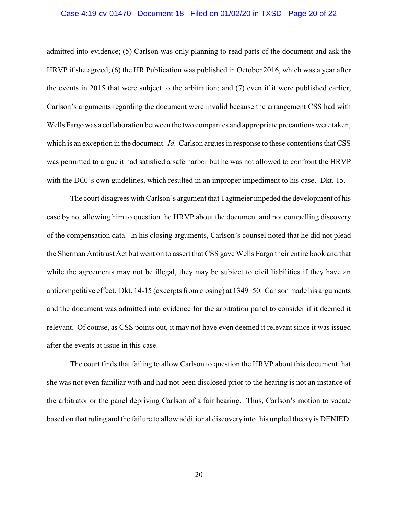#### Case 4:19-cv-01470 Document 18 Filed on 01/02/20 in TXSD Page 20 of 22

admitted into evidence; (5) Carlson was only planning to read parts of the document and ask the HRVP if she agreed; (6) the HR Publication was published in October 2016, which was a year after the events in 2015 that were subject to the arbitration; and (7) even if it were published earlier, Carlson's arguments regarding the document were invalid because the arrangement CSS had with Wells Fargowas a collaboration between the two companies and appropriate precautions were taken, which is an exception in the document. *Id.* Carlson argues in response to these contentions that CSS was permitted to argue it had satisfied a safe harbor but he was not allowed to confront the HRVP with the DOJ's own guidelines, which resulted in an improper impediment to his case. Dkt. 15.

The court disagrees with Carlson's argument that Tagtmeier impeded the development of his case by not allowing him to question the HRVP about the document and not compelling discovery of the compensation data. In his closing arguments, Carlson's counsel noted that he did not plead the Sherman Antitrust Act but went on to assert that CSS gave Wells Fargo their entire book and that while the agreements may not be illegal, they may be subject to civil liabilities if they have an anticompetitive effect. Dkt. 14-15 (excerpts from closing) at 1349–50. Carlson made his arguments and the document was admitted into evidence for the arbitration panel to consider if it deemed it relevant. Of course, as CSS points out, it may not have even deemed it relevant since it was issued after the events at issue in this case.

The court finds that failing to allow Carlson to question the HRVP about this document that she was not even familiar with and had not been disclosed prior to the hearing is not an instance of the arbitrator or the panel depriving Carlson of a fair hearing. Thus, Carlson's motion to vacate based on that ruling and the failure to allow additional discovery into this unpled theory is DENIED.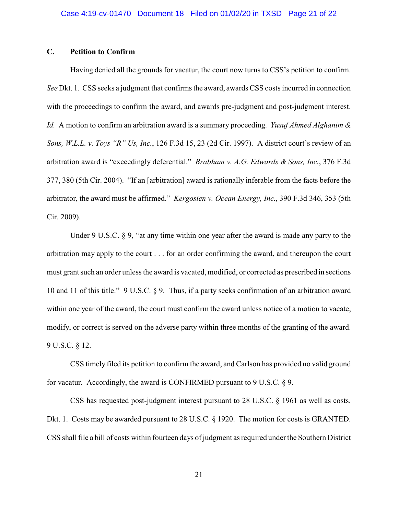# **C. Petition to Confirm**

Having denied all the grounds for vacatur, the court now turns to CSS's petition to confirm. *See* Dkt. 1. CSS seeks a judgment that confirms the award, awards CSS costs incurred in connection with the proceedings to confirm the award, and awards pre-judgment and post-judgment interest. *Id.* A motion to confirm an arbitration award is a summary proceeding. *Yusuf Ahmed Alghanim & Sons, W.L.L. v. Toys "R" Us, Inc.*, 126 F.3d 15, 23 (2d Cir. 1997). A district court's review of an arbitration award is "exceedingly deferential." *Brabham v. A.G. Edwards & Sons, Inc.*, 376 F.3d 377, 380 (5th Cir. 2004). "If an [arbitration] award is rationally inferable from the facts before the arbitrator, the award must be affirmed." *Kergosien v. Ocean Energy, Inc.*, 390 F.3d 346, 353 (5th Cir. 2009).

Under 9 U.S.C. § 9, "at any time within one year after the award is made any party to the arbitration may apply to the court . . . for an order confirming the award, and thereupon the court must grant such an order unless the award is vacated, modified, or corrected as prescribed in sections 10 and 11 of this title." 9 U.S.C. § 9. Thus, if a party seeks confirmation of an arbitration award within one year of the award, the court must confirm the award unless notice of a motion to vacate, modify, or correct is served on the adverse party within three months of the granting of the award. 9 U.S.C. § 12.

CSS timely filed its petition to confirm the award, and Carlson has provided no valid ground for vacatur. Accordingly, the award is CONFIRMED pursuant to 9 U.S.C. § 9.

CSS has requested post-judgment interest pursuant to 28 U.S.C. § 1961 as well as costs. Dkt. 1. Costs may be awarded pursuant to 28 U.S.C. § 1920. The motion for costs is GRANTED. CSS shall file a bill of costs within fourteen days of judgment as required under the Southern District